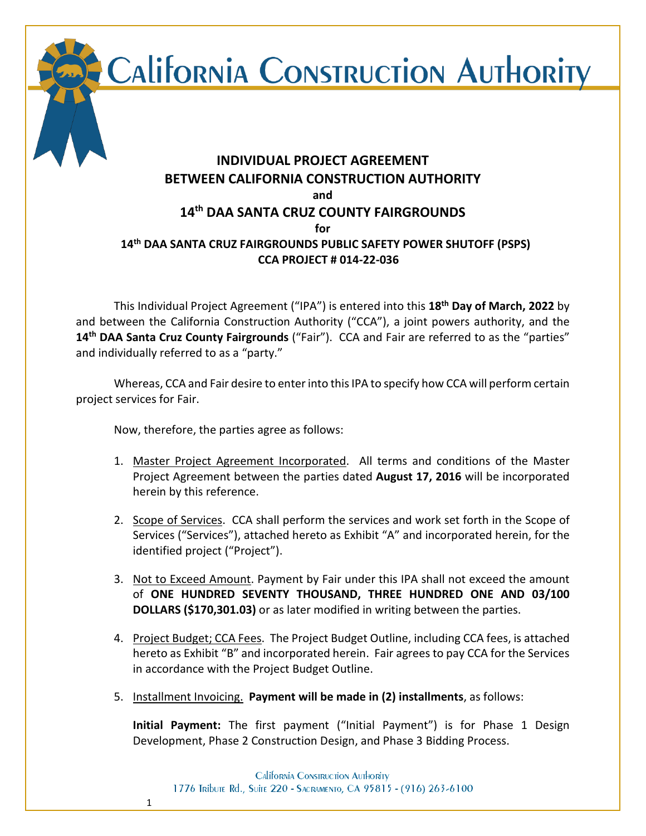CALIFORNIA CONSTRUCTION AUTHORITY

# **INDIVIDUAL PROJECT AGREEMENT BETWEEN CALIFORNIA CONSTRUCTION AUTHORITY and 14th DAA SANTA CRUZ COUNTY FAIRGROUNDS for 14th DAA SANTA CRUZ FAIRGROUNDS PUBLIC SAFETY POWER SHUTOFF (PSPS) CCA PROJECT # 014-22-036**

This Individual Project Agreement ("IPA") is entered into this **18th Day of March, 2022** by and between the California Construction Authority ("CCA"), a joint powers authority, and the **14th DAA Santa Cruz County Fairgrounds** ("Fair"). CCA and Fair are referred to as the "parties" and individually referred to as a "party."

Whereas, CCA and Fair desire to enter into this IPA to specify how CCA will perform certain project services for Fair.

Now, therefore, the parties agree as follows:

1

- 1. Master Project Agreement Incorporated. All terms and conditions of the Master Project Agreement between the parties dated **August 17, 2016** will be incorporated herein by this reference.
- 2. Scope of Services. CCA shall perform the services and work set forth in the Scope of Services ("Services"), attached hereto as Exhibit "A" and incorporated herein, for the identified project ("Project").
- 3. Not to Exceed Amount. Payment by Fair under this IPA shall not exceed the amount of **ONE HUNDRED SEVENTY THOUSAND, THREE HUNDRED ONE AND 03/100 DOLLARS (\$170,301.03)** or as later modified in writing between the parties.
- 4. Project Budget; CCA Fees. The Project Budget Outline, including CCA fees, is attached hereto as Exhibit "B" and incorporated herein. Fair agrees to pay CCA for the Services in accordance with the Project Budget Outline.
- 5. Installment Invoicing. **Payment will be made in (2) installments**, as follows:

**Initial Payment:** The first payment ("Initial Payment") is for Phase 1 Design Development, Phase 2 Construction Design, and Phase 3 Bidding Process.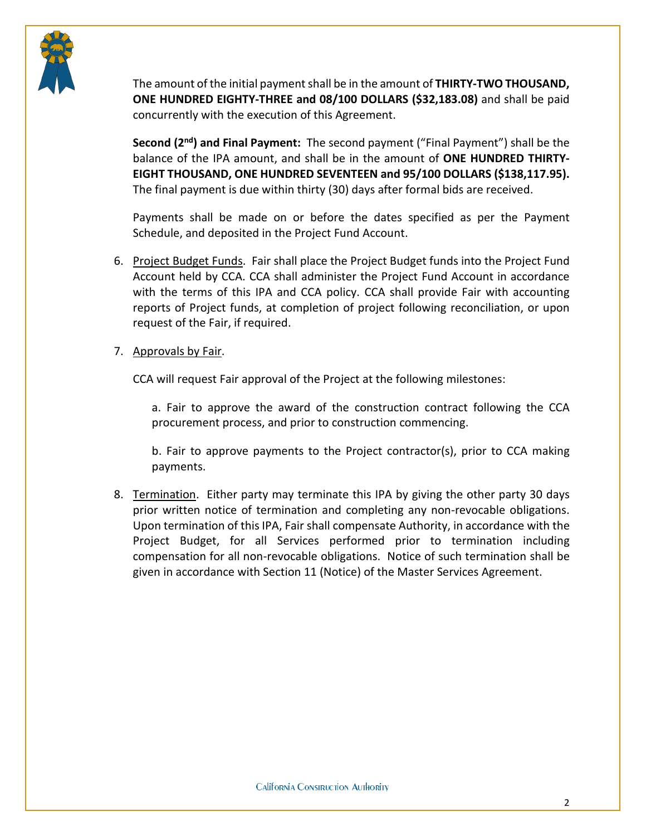

The amount of the initial payment shall be in the amount of **THIRTY-TWO THOUSAND, ONE HUNDRED EIGHTY-THREE and 08/100 DOLLARS (\$32,183.08)** and shall be paid concurrently with the execution of this Agreement.

**Second (2nd) and Final Payment:** The second payment ("Final Payment") shall be the balance of the IPA amount, and shall be in the amount of **ONE HUNDRED THIRTY-EIGHT THOUSAND, ONE HUNDRED SEVENTEEN and 95/100 DOLLARS (\$138,117.95).** The final payment is due within thirty (30) days after formal bids are received.

Payments shall be made on or before the dates specified as per the Payment Schedule, and deposited in the Project Fund Account.

6. Project Budget Funds. Fair shall place the Project Budget funds into the Project Fund Account held by CCA. CCA shall administer the Project Fund Account in accordance with the terms of this IPA and CCA policy. CCA shall provide Fair with accounting reports of Project funds, at completion of project following reconciliation, or upon request of the Fair, if required.

### 7. Approvals by Fair.

CCA will request Fair approval of the Project at the following milestones:

a. Fair to approve the award of the construction contract following the CCA procurement process, and prior to construction commencing.

b. Fair to approve payments to the Project contractor(s), prior to CCA making payments.

8. Termination. Either party may terminate this IPA by giving the other party 30 days prior written notice of termination and completing any non-revocable obligations. Upon termination of this IPA, Fair shall compensate Authority, in accordance with the Project Budget, for all Services performed prior to termination including compensation for all non-revocable obligations. Notice of such termination shall be given in accordance with Section 11 (Notice) of the Master Services Agreement.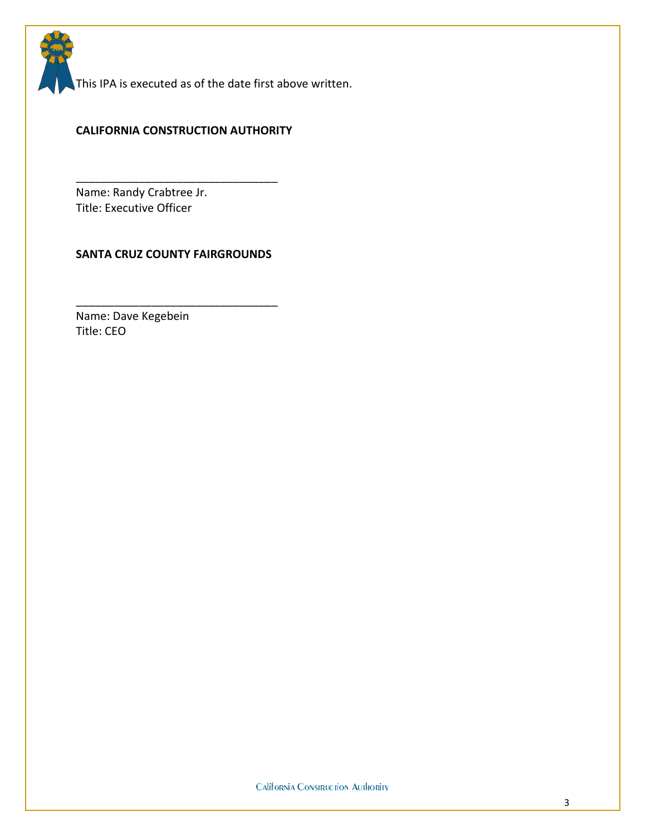This IPA is executed as of the date first above written.

#### **CALIFORNIA CONSTRUCTION AUTHORITY**

\_\_\_\_\_\_\_\_\_\_\_\_\_\_\_\_\_\_\_\_\_\_\_\_\_\_\_\_\_\_\_\_

Name: Randy Crabtree Jr. Title: Executive Officer

#### **SANTA CRUZ COUNTY FAIRGROUNDS**

\_\_\_\_\_\_\_\_\_\_\_\_\_\_\_\_\_\_\_\_\_\_\_\_\_\_\_\_\_\_\_\_

Name: Dave Kegebein Title: CEO

**California Construction Authority**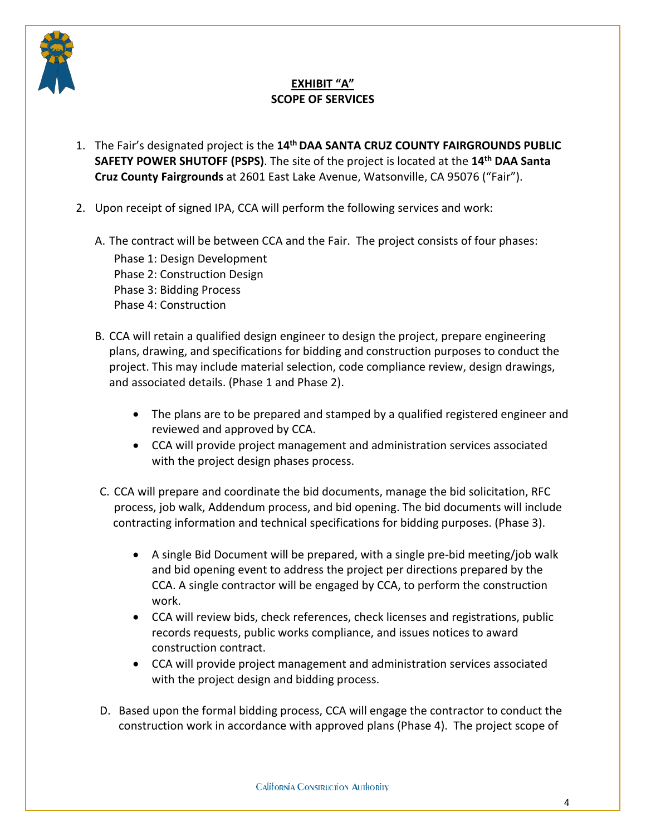

# **EXHIBIT "A" SCOPE OF SERVICES**

- 1. The Fair's designated project is the **14th DAA SANTA CRUZ COUNTY FAIRGROUNDS PUBLIC SAFETY POWER SHUTOFF (PSPS)**. The site of the project is located at the **14th DAA Santa Cruz County Fairgrounds** at 2601 East Lake Avenue, Watsonville, CA 95076 ("Fair").
- 2. Upon receipt of signed IPA, CCA will perform the following services and work:

A. The contract will be between CCA and the Fair. The project consists of four phases: Phase 1: Design Development Phase 2: Construction Design Phase 3: Bidding Process Phase 4: Construction

- B. CCA will retain a qualified design engineer to design the project, prepare engineering plans, drawing, and specifications for bidding and construction purposes to conduct the project. This may include material selection, code compliance review, design drawings, and associated details. (Phase 1 and Phase 2).
	- The plans are to be prepared and stamped by a qualified registered engineer and reviewed and approved by CCA.
	- CCA will provide project management and administration services associated with the project design phases process.
- C. CCA will prepare and coordinate the bid documents, manage the bid solicitation, RFC process, job walk, Addendum process, and bid opening. The bid documents will include contracting information and technical specifications for bidding purposes. (Phase 3).
	- A single Bid Document will be prepared, with a single pre-bid meeting/job walk and bid opening event to address the project per directions prepared by the CCA. A single contractor will be engaged by CCA, to perform the construction work.
	- CCA will review bids, check references, check licenses and registrations, public records requests, public works compliance, and issues notices to award construction contract.
	- CCA will provide project management and administration services associated with the project design and bidding process.
- D. Based upon the formal bidding process, CCA will engage the contractor to conduct the construction work in accordance with approved plans (Phase 4). The project scope of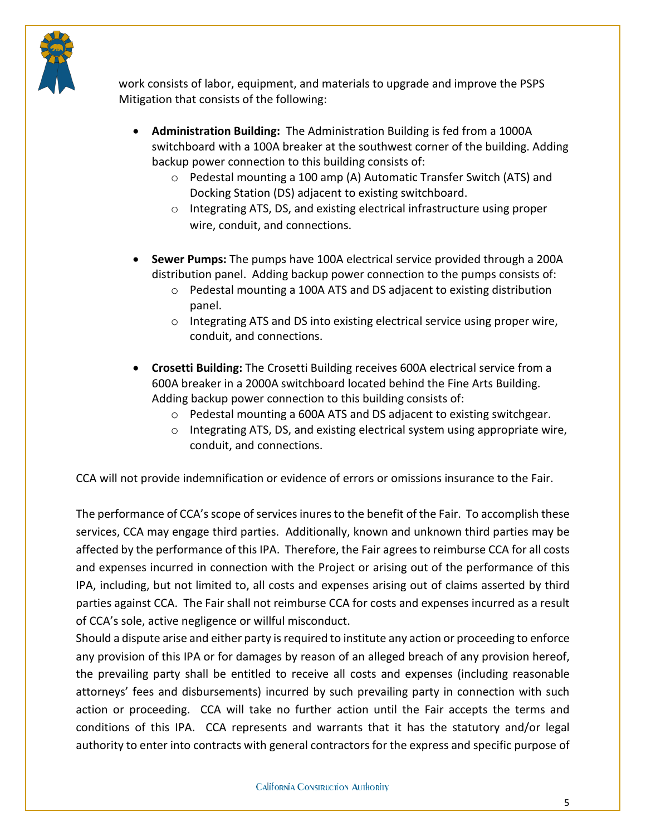

work consists of labor, equipment, and materials to upgrade and improve the PSPS Mitigation that consists of the following:

- **Administration Building:** The Administration Building is fed from a 1000A switchboard with a 100A breaker at the southwest corner of the building. Adding backup power connection to this building consists of:
	- o Pedestal mounting a 100 amp (A) Automatic Transfer Switch (ATS) and Docking Station (DS) adjacent to existing switchboard.
	- o Integrating ATS, DS, and existing electrical infrastructure using proper wire, conduit, and connections.
- **Sewer Pumps:** The pumps have 100A electrical service provided through a 200A distribution panel. Adding backup power connection to the pumps consists of:
	- o Pedestal mounting a 100A ATS and DS adjacent to existing distribution panel.
	- o Integrating ATS and DS into existing electrical service using proper wire, conduit, and connections.
- **Crosetti Building:** The Crosetti Building receives 600A electrical service from a 600A breaker in a 2000A switchboard located behind the Fine Arts Building. Adding backup power connection to this building consists of:
	- o Pedestal mounting a 600A ATS and DS adjacent to existing switchgear.
	- $\circ$  Integrating ATS, DS, and existing electrical system using appropriate wire, conduit, and connections.

CCA will not provide indemnification or evidence of errors or omissions insurance to the Fair.

The performance of CCA's scope of services inures to the benefit of the Fair. To accomplish these services, CCA may engage third parties. Additionally, known and unknown third parties may be affected by the performance of this IPA. Therefore, the Fair agrees to reimburse CCA for all costs and expenses incurred in connection with the Project or arising out of the performance of this IPA, including, but not limited to, all costs and expenses arising out of claims asserted by third parties against CCA. The Fair shall not reimburse CCA for costs and expenses incurred as a result of CCA's sole, active negligence or willful misconduct.

Should a dispute arise and either party is required to institute any action or proceeding to enforce any provision of this IPA or for damages by reason of an alleged breach of any provision hereof, the prevailing party shall be entitled to receive all costs and expenses (including reasonable attorneys' fees and disbursements) incurred by such prevailing party in connection with such action or proceeding. CCA will take no further action until the Fair accepts the terms and conditions of this IPA. CCA represents and warrants that it has the statutory and/or legal authority to enter into contracts with general contractors for the express and specific purpose of